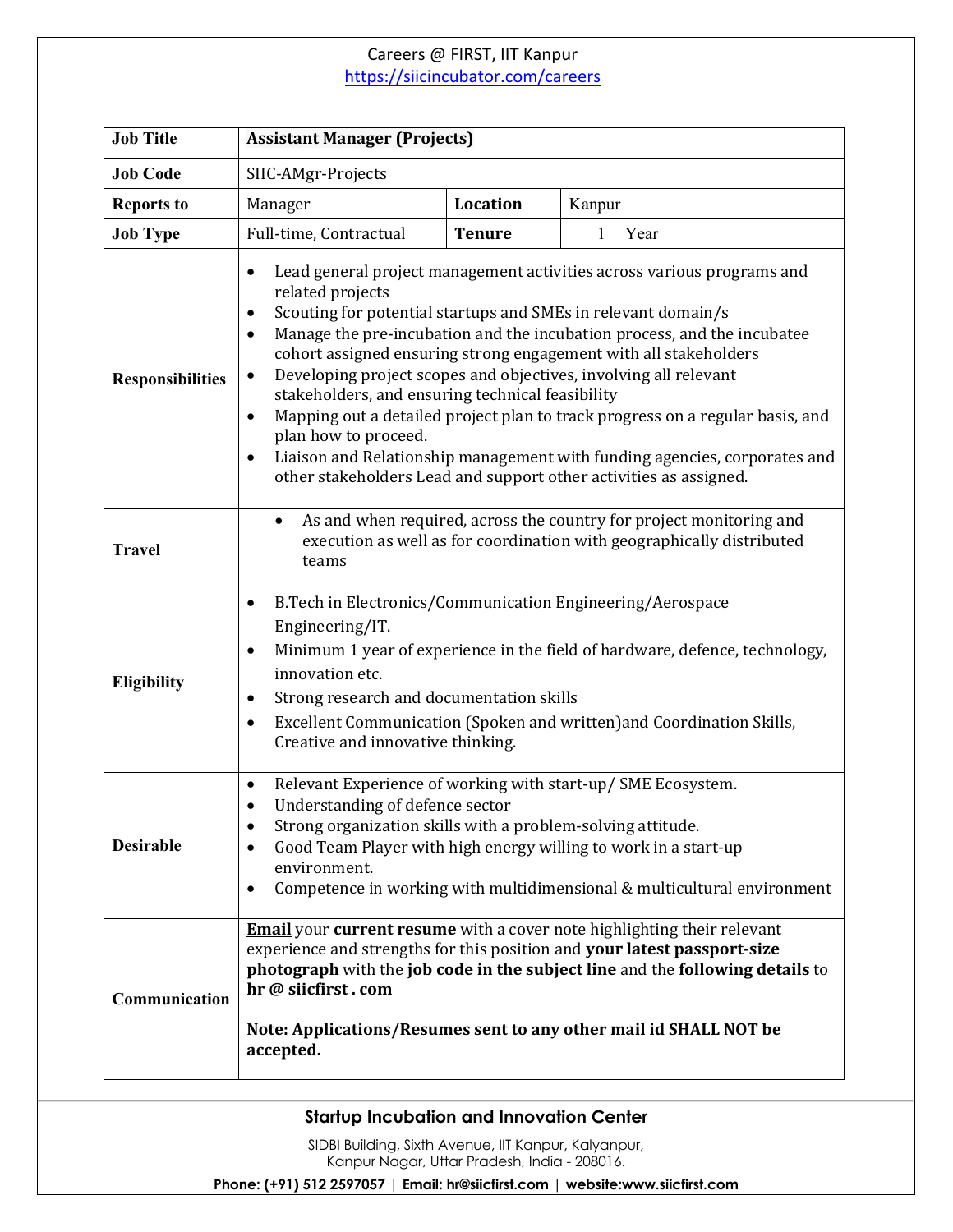## Careers @ FIRST, IIT Kanpur https://siicincubator.com/careers

| <b>Job Title</b>        | <b>Assistant Manager (Projects)</b>                                                                                                                                                                                                                                                                                                                                                                                                                                                                                                                                                                                                                                                                                            |               |                      |
|-------------------------|--------------------------------------------------------------------------------------------------------------------------------------------------------------------------------------------------------------------------------------------------------------------------------------------------------------------------------------------------------------------------------------------------------------------------------------------------------------------------------------------------------------------------------------------------------------------------------------------------------------------------------------------------------------------------------------------------------------------------------|---------------|----------------------|
| <b>Job Code</b>         | SIIC-AMgr-Projects                                                                                                                                                                                                                                                                                                                                                                                                                                                                                                                                                                                                                                                                                                             |               |                      |
| <b>Reports to</b>       | Manager                                                                                                                                                                                                                                                                                                                                                                                                                                                                                                                                                                                                                                                                                                                        | Location      | Kanpur               |
| <b>Job Type</b>         | Full-time, Contractual                                                                                                                                                                                                                                                                                                                                                                                                                                                                                                                                                                                                                                                                                                         | <b>Tenure</b> | $\mathbf{1}$<br>Year |
| <b>Responsibilities</b> | Lead general project management activities across various programs and<br>related projects<br>Scouting for potential startups and SMEs in relevant domain/s<br>٠<br>Manage the pre-incubation and the incubation process, and the incubatee<br>٠<br>cohort assigned ensuring strong engagement with all stakeholders<br>Developing project scopes and objectives, involving all relevant<br>٠<br>stakeholders, and ensuring technical feasibility<br>Mapping out a detailed project plan to track progress on a regular basis, and<br>$\bullet$<br>plan how to proceed.<br>Liaison and Relationship management with funding agencies, corporates and<br>٠<br>other stakeholders Lead and support other activities as assigned. |               |                      |
| <b>Travel</b>           | As and when required, across the country for project monitoring and<br>$\bullet$<br>execution as well as for coordination with geographically distributed<br>teams                                                                                                                                                                                                                                                                                                                                                                                                                                                                                                                                                             |               |                      |
| <b>Eligibility</b>      | B.Tech in Electronics/Communication Engineering/Aerospace<br>$\bullet$<br>Engineering/IT.<br>Minimum 1 year of experience in the field of hardware, defence, technology,<br>$\bullet$<br>innovation etc.<br>Strong research and documentation skills<br>٠<br>Excellent Communication (Spoken and written) and Coordination Skills,<br>٠<br>Creative and innovative thinking.                                                                                                                                                                                                                                                                                                                                                   |               |                      |
| <b>Desirable</b>        | Relevant Experience of working with start-up/ SME Ecosystem.<br>$\bullet$<br>Understanding of defence sector<br>Strong organization skills with a problem-solving attitude.<br>٠<br>Good Team Player with high energy willing to work in a start-up<br>٠<br>environment.<br>Competence in working with multidimensional & multicultural environment<br>٠                                                                                                                                                                                                                                                                                                                                                                       |               |                      |
| Communication           | <b>Email</b> your current resume with a cover note highlighting their relevant<br>experience and strengths for this position and your latest passport-size<br>photograph with the job code in the subject line and the following details to<br>hr @ siicfirst.com<br>Note: Applications/Resumes sent to any other mail id SHALL NOT be<br>accepted.                                                                                                                                                                                                                                                                                                                                                                            |               |                      |

## **Startup Incubation and Innovation Center**

SIDBI Building, Sixth Avenue, IIT Kanpur, Kalyanpur, Kanpur Nagar, Uttar Pradesh, India - 208016.